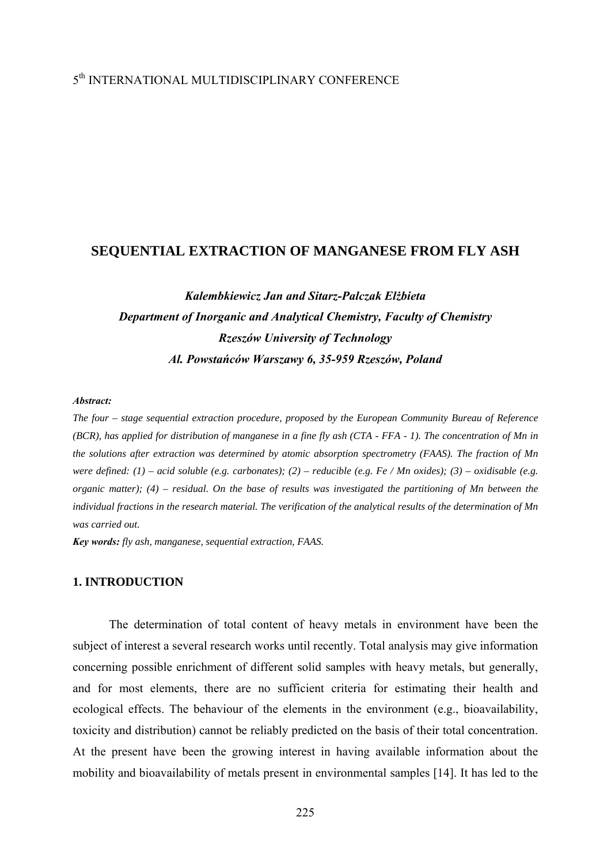## 5th INTERNATIONAL MULTIDISCIPLINARY CONFERENCE

## **SEQUENTIAL EXTRACTION OF MANGANESE FROM FLY ASH**

# *Kalembkiewicz Jan and Sitarz-Palczak Elżbieta Department of Inorganic and Analytical Chemistry, Faculty of Chemistry Rzeszów University of Technology Al. Powstańców Warszawy 6, 35-959 Rzeszów, Poland*

#### *Abstract:*

*The four – stage sequential extraction procedure, proposed by the European Community Bureau of Reference (BCR), has applied for distribution of manganese in a fine fly ash (CTA - FFA - 1). The concentration of Mn in the solutions after extraction was determined by atomic absorption spectrometry (FAAS). The fraction of Mn were defined: (1) – acid soluble (e.g. carbonates); (2) – reducible (e.g. Fe / Mn oxides); (3) – oxidisable (e.g. organic matter); (4) – residual. On the base of results was investigated the partitioning of Mn between the individual fractions in the research material. The verification of the analytical results of the determination of Mn was carried out.* 

*Key words: fly ash, manganese, sequential extraction, FAAS.*

## **1. INTRODUCTION**

 The determination of total content of heavy metals in environment have been the subject of interest a several research works until recently. Total analysis may give information concerning possible enrichment of different solid samples with heavy metals, but generally, and for most elements, there are no sufficient criteria for estimating their health and ecological effects. The behaviour of the elements in the environment (e.g., bioavailability, toxicity and distribution) cannot be reliably predicted on the basis of their total concentration. At the present have been the growing interest in having available information about the mobility and bioavailability of metals present in environmental samples [14]. It has led to the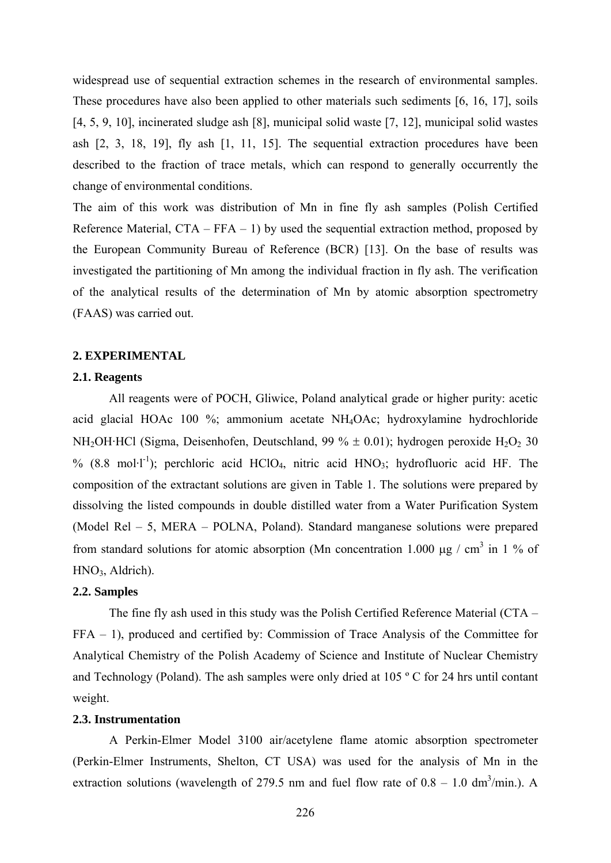widespread use of sequential extraction schemes in the research of environmental samples. These procedures have also been applied to other materials such sediments [6, 16, 17], soils [4, 5, 9, 10], incinerated sludge ash [8], municipal solid waste [7, 12], municipal solid wastes ash [2, 3, 18, 19], fly ash [1, 11, 15]. The sequential extraction procedures have been described to the fraction of trace metals, which can respond to generally occurrently the change of environmental conditions.

The aim of this work was distribution of Mn in fine fly ash samples (Polish Certified Reference Material,  $CTA - FFA - 1$ ) by used the sequential extraction method, proposed by the European Community Bureau of Reference (BCR) [13]. On the base of results was investigated the partitioning of Mn among the individual fraction in fly ash. The verification of the analytical results of the determination of Mn by atomic absorption spectrometry (FAAS) was carried out.

#### **2. EXPERIMENTAL**

### **2.1. Reagents**

All reagents were of POCH, Gliwice, Poland analytical grade or higher purity: acetic acid glacial HOAc 100 %; ammonium acetate NH4OAc; hydroxylamine hydrochloride NH<sub>2</sub>OH·HCl (Sigma, Deisenhofen, Deutschland, 99 %  $\pm$  0.01); hydrogen peroxide H<sub>2</sub>O<sub>2</sub> 30 % (8.8 mol·l<sup>-1</sup>); perchloric acid HClO<sub>4</sub>, nitric acid HNO<sub>3</sub>; hydrofluoric acid HF. The composition of the extractant solutions are given in Table 1. The solutions were prepared by dissolving the listed compounds in double distilled water from a Water Purification System (Model Rel – 5, MERA – POLNA, Poland). Standard manganese solutions were prepared from standard solutions for atomic absorption (Mn concentration 1.000 μg / cm<sup>3</sup> in 1 % of  $HNO<sub>3</sub>$ , Aldrich).

### **2.2. Samples**

 The fine fly ash used in this study was the Polish Certified Reference Material (CTA – FFA – 1), produced and certified by: Commission of Trace Analysis of the Committee for Analytical Chemistry of the Polish Academy of Science and Institute of Nuclear Chemistry and Technology (Poland). The ash samples were only dried at 105 º C for 24 hrs until contant weight.

#### **2.3. Instrumentation**

A Perkin-Elmer Model 3100 air/acetylene flame atomic absorption spectrometer (Perkin-Elmer Instruments, Shelton, CT USA) was used for the analysis of Mn in the extraction solutions (wavelength of 279.5 nm and fuel flow rate of  $0.8 - 1.0 \text{ dm}^3/\text{min}$ .). A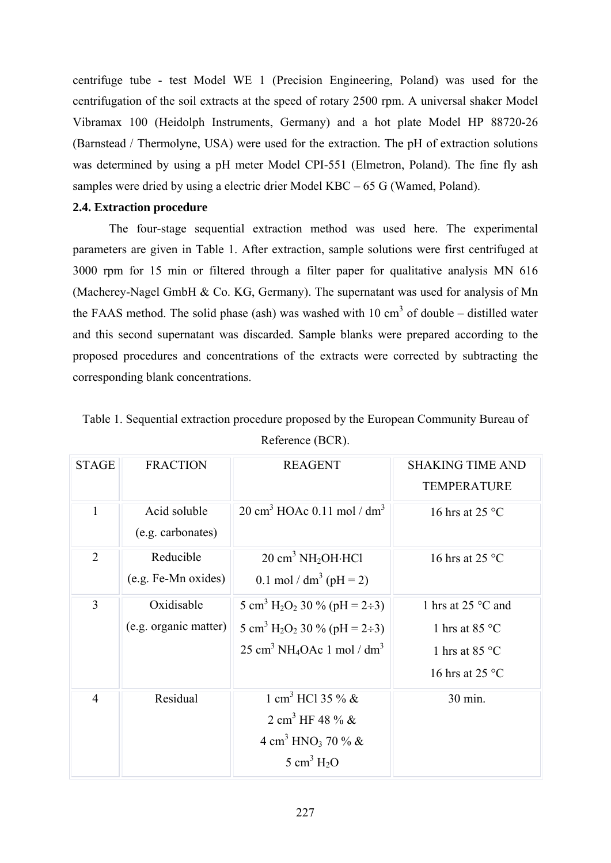centrifuge tube - test Model WE 1 (Precision Engineering, Poland) was used for the centrifugation of the soil extracts at the speed of rotary 2500 rpm. A universal shaker Model Vibramax 100 (Heidolph Instruments, Germany) and a hot plate Model HP 88720-26 (Barnstead / Thermolyne, USA) were used for the extraction. The pH of extraction solutions was determined by using a pH meter Model CPI-551 (Elmetron, Poland). The fine fly ash samples were dried by using a electric drier Model KBC – 65 G (Wamed, Poland).

## **2.4. Extraction procedure**

The four-stage sequential extraction method was used here. The experimental parameters are given in Table 1. After extraction, sample solutions were first centrifuged at 3000 rpm for 15 min or filtered through a filter paper for qualitative analysis MN 616 (Macherey-Nagel GmbH & Co. KG, Germany). The supernatant was used for analysis of Mn the FAAS method. The solid phase (ash) was washed with 10  $\text{cm}^3$  of double – distilled water and this second supernatant was discarded. Sample blanks were prepared according to the proposed procedures and concentrations of the extracts were corrected by subtracting the corresponding blank concentrations.

| <b>STAGE</b>   | <b>FRACTION</b>                     | <b>REAGENT</b>                                                                                                                                                                                         | <b>SHAKING TIME AND</b><br><b>TEMPERATURE</b>                                                                 |
|----------------|-------------------------------------|--------------------------------------------------------------------------------------------------------------------------------------------------------------------------------------------------------|---------------------------------------------------------------------------------------------------------------|
| $\mathbf{1}$   | Acid soluble<br>(e.g. carbonates)   | $20 \text{ cm}^3$ HOAc 0.11 mol / dm <sup>3</sup>                                                                                                                                                      | 16 hrs at 25 $\degree$ C                                                                                      |
| $\overline{2}$ | Reducible<br>(e.g. Fe-Mn oxides)    | $20 \text{ cm}^3 \text{ NH}_2\text{OH} \cdot \text{HCl}$<br>0.1 mol / $dm^3$ (pH = 2)                                                                                                                  | 16 hrs at 25 $\degree$ C                                                                                      |
| 3              | Oxidisable<br>(e.g. organic matter) | 5 cm <sup>3</sup> H <sub>2</sub> O <sub>2</sub> 30 % (pH = 2÷3)<br>5 cm <sup>3</sup> H <sub>2</sub> O <sub>2</sub> 30 % (pH = 2÷3)<br>$25 \text{ cm}^3 \text{ NH}_4\text{OAc}$ 1 mol / dm <sup>3</sup> | 1 hrs at $25^{\circ}$ C and<br>1 hrs at 85 $\degree$ C<br>1 hrs at 85 $\degree$ C<br>16 hrs at 25 $\degree$ C |
| $\overline{4}$ | Residual                            | 1 cm <sup>3</sup> HCl 35 % $\&$<br>2 cm <sup>3</sup> HF 48 % &<br>4 cm <sup>3</sup> HNO <sub>3</sub> 70 % &<br>5 cm <sup>3</sup> $H_2O$                                                                | 30 min.                                                                                                       |

Table 1. Sequential extraction procedure proposed by the European Community Bureau of Reference (BCR).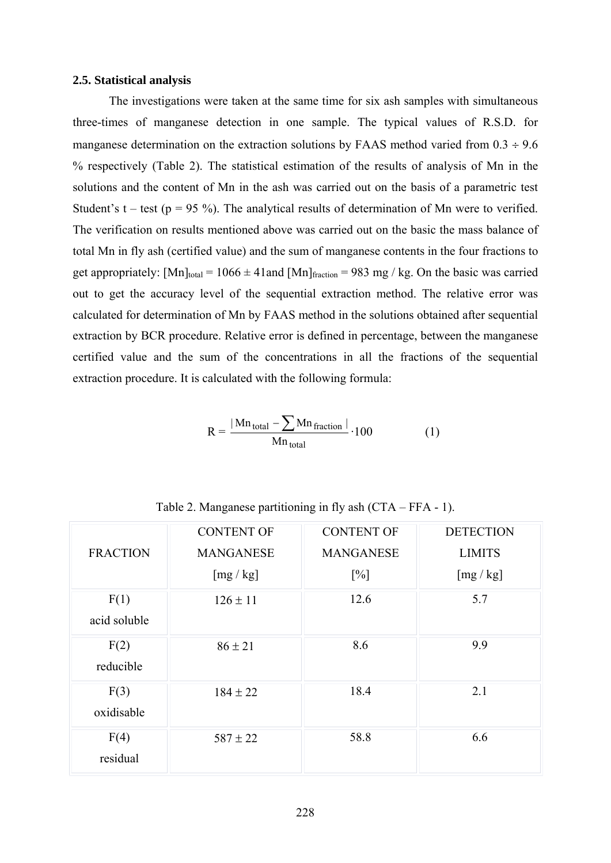#### **2.5. Statistical analysis**

The investigations were taken at the same time for six ash samples with simultaneous three-times of manganese detection in one sample. The typical values of R.S.D. for manganese determination on the extraction solutions by FAAS method varied from  $0.3 \div 9.6$ % respectively (Table 2). The statistical estimation of the results of analysis of Mn in the solutions and the content of Mn in the ash was carried out on the basis of a parametric test Student's t – test ( $p = 95\%$ ). The analytical results of determination of Mn were to verified. The verification on results mentioned above was carried out on the basic the mass balance of total Mn in fly ash (certified value) and the sum of manganese contents in the four fractions to get appropriately:  $[Mn]_{total} = 1066 \pm 41$  and  $[Mn]_{fraction} = 983$  mg / kg. On the basic was carried out to get the accuracy level of the sequential extraction method. The relative error was calculated for determination of Mn by FAAS method in the solutions obtained after sequential extraction by BCR procedure. Relative error is defined in percentage, between the manganese certified value and the sum of the concentrations in all the fractions of the sequential extraction procedure. It is calculated with the following formula:

$$
R = \frac{|Mn_{\text{total}} - \sum Mn_{\text{fraction}}|}{Mn_{\text{total}}} \cdot 100
$$
 (1)

|                      | <b>CONTENT OF</b> | <b>CONTENT OF</b> | <b>DETECTION</b> |
|----------------------|-------------------|-------------------|------------------|
| <b>FRACTION</b>      | <b>MANGANESE</b>  | <b>MANGANESE</b>  | <b>LIMITS</b>    |
|                      | [mg/kg]           | $[\%]$            | [mg/kg]          |
| F(1)<br>acid soluble | $126 \pm 11$      | 12.6              | 5.7              |
| F(2)<br>reducible    | $86 \pm 21$       | 8.6               | 9.9              |
| F(3)<br>oxidisable   | $184 \pm 22$      | 18.4              | 2.1              |
| F(4)<br>residual     | $587 \pm 22$      | 58.8              | 6.6              |

Table 2. Manganese partitioning in fly ash (CTA – FFA - 1).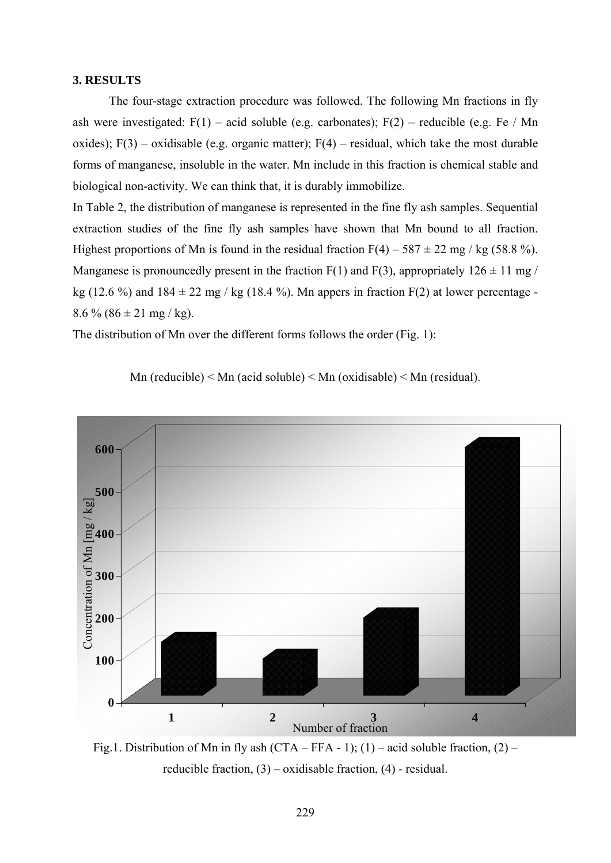## **3. RESULTS**

 The four-stage extraction procedure was followed. The following Mn fractions in fly ash were investigated:  $F(1)$  – acid soluble (e.g. carbonates);  $F(2)$  – reducible (e.g. Fe / Mn oxides);  $F(3)$  – oxidisable (e.g. organic matter);  $F(4)$  – residual, which take the most durable forms of manganese, insoluble in the water. Mn include in this fraction is chemical stable and biological non-activity. We can think that, it is durably immobilize.

In Table 2, the distribution of manganese is represented in the fine fly ash samples. Sequential extraction studies of the fine fly ash samples have shown that Mn bound to all fraction. Highest proportions of Mn is found in the residual fraction  $F(4) - 587 \pm 22$  mg / kg (58.8 %). Manganese is pronouncedly present in the fraction  $F(1)$  and  $F(3)$ , appropriately  $126 \pm 11$  mg / kg (12.6 %) and  $184 \pm 22$  mg / kg (18.4 %). Mn appers in fraction F(2) at lower percentage - $8.6\%$  ( $86 \pm 21$  mg / kg).

The distribution of Mn over the different forms follows the order (Fig. 1):

Mn (reducible)  $\leq$  Mn (acid soluble)  $\leq$  Mn (oxidisable)  $\leq$  Mn (residual).



Fig.1. Distribution of Mn in fly ash (CTA – FFA - 1); (1) – acid soluble fraction, (2) – reducible fraction,  $(3)$  – oxidisable fraction,  $(4)$  - residual.